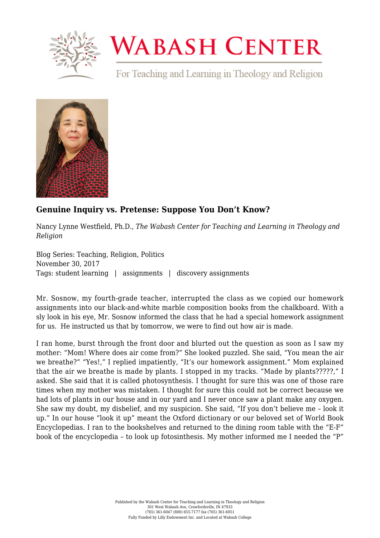

## **WABASH CENTER**

For Teaching and Learning in Theology and Religion



## **[Genuine Inquiry vs. Pretense: Suppose You Don't Know?](https://www.wabashcenter.wabash.edu/2017/11/genuine-inquiry-vs-pretense-suppose-dont-know/)**

Nancy Lynne Westfield, Ph.D., *The Wabash Center for Teaching and Learning in Theology and Religion*

Blog Series: Teaching, Religion, Politics November 30, 2017 Tags: student learning | assignments | discovery assignments

Mr. Sosnow, my fourth-grade teacher, interrupted the class as we copied our homework assignments into our black-and-white marble composition books from the chalkboard. With a sly look in his eye, Mr. Sosnow informed the class that he had a special homework assignment for us. He instructed us that by tomorrow, we were to find out how air is made.

I ran home, burst through the front door and blurted out the question as soon as I saw my mother: "Mom! Where does air come from?" She looked puzzled. She said, "You mean the air we breathe?" "Yes!," I replied impatiently, "It's our homework assignment." Mom explained that the air we breathe is made by plants. I stopped in my tracks. "Made by plants?????," I asked. She said that it is called photosynthesis. I thought for sure this was one of those rare times when my mother was mistaken. I thought for sure this could not be correct because we had lots of plants in our house and in our yard and I never once saw a plant make any oxygen. She saw my doubt, my disbelief, and my suspicion. She said, "If you don't believe me – look it up." In our house "look it up" meant the Oxford dictionary or our beloved set of World Book Encyclopedias. I ran to the bookshelves and returned to the dining room table with the "E-F" book of the encyclopedia – to look up fotosinthesis. My mother informed me I needed the "P"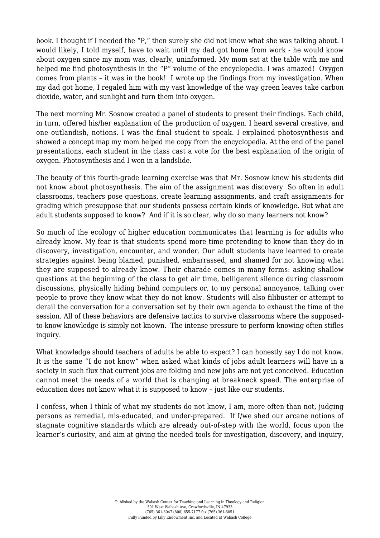book. I thought if I needed the "P," then surely she did not know what she was talking about. I would likely, I told myself, have to wait until my dad got home from work - he would know about oxygen since my mom was, clearly, uninformed. My mom sat at the table with me and helped me find photosynthesis in the "P" volume of the encyclopedia. I was amazed! Oxygen comes from plants – it was in the book! I wrote up the findings from my investigation. When my dad got home, I regaled him with my vast knowledge of the way green leaves take carbon dioxide, water, and sunlight and turn them into oxygen.

The next morning Mr. Sosnow created a panel of students to present their findings. Each child, in turn, offered his/her explanation of the production of oxygen. I heard several creative, and one outlandish, notions. I was the final student to speak. I explained photosynthesis and showed a concept map my mom helped me copy from the encyclopedia. At the end of the panel presentations, each student in the class cast a vote for the best explanation of the origin of oxygen. Photosynthesis and I won in a landslide.

The beauty of this fourth-grade learning exercise was that Mr. Sosnow knew his students did not know about photosynthesis. The aim of the assignment was discovery. So often in adult classrooms, teachers pose questions, create learning assignments, and craft assignments for grading which presuppose that our students possess certain kinds of knowledge. But what are adult students supposed to know? And if it is so clear, why do so many learners not know?

So much of the ecology of higher education communicates that learning is for adults who already know. My fear is that students spend more time pretending to know than they do in discovery, investigation, encounter, and wonder. Our adult students have learned to create strategies against being blamed, punished, embarrassed, and shamed for not knowing what they are supposed to already know. Their charade comes in many forms: asking shallow questions at the beginning of the class to get air time, belligerent silence during classroom discussions, physically hiding behind computers or, to my personal annoyance, talking over people to prove they know what they do not know. Students will also filibuster or attempt to derail the conversation for a conversation set by their own agenda to exhaust the time of the session. All of these behaviors are defensive tactics to survive classrooms where the supposedto-know knowledge is simply not known. The intense pressure to perform knowing often stifles inquiry.

What knowledge should teachers of adults be able to expect? I can honestly say I do not know. It is the same "I do not know" when asked what kinds of jobs adult learners will have in a society in such flux that current jobs are folding and new jobs are not yet conceived. Education cannot meet the needs of a world that is changing at breakneck speed. The enterprise of education does not know what it is supposed to know – just like our students.

I confess, when I think of what my students do not know, I am, more often than not, judging persons as remedial, mis-educated, and under-prepared. If I/we shed our arcane notions of stagnate cognitive standards which are already out-of-step with the world, focus upon the learner's curiosity, and aim at giving the needed tools for investigation, discovery, and inquiry,